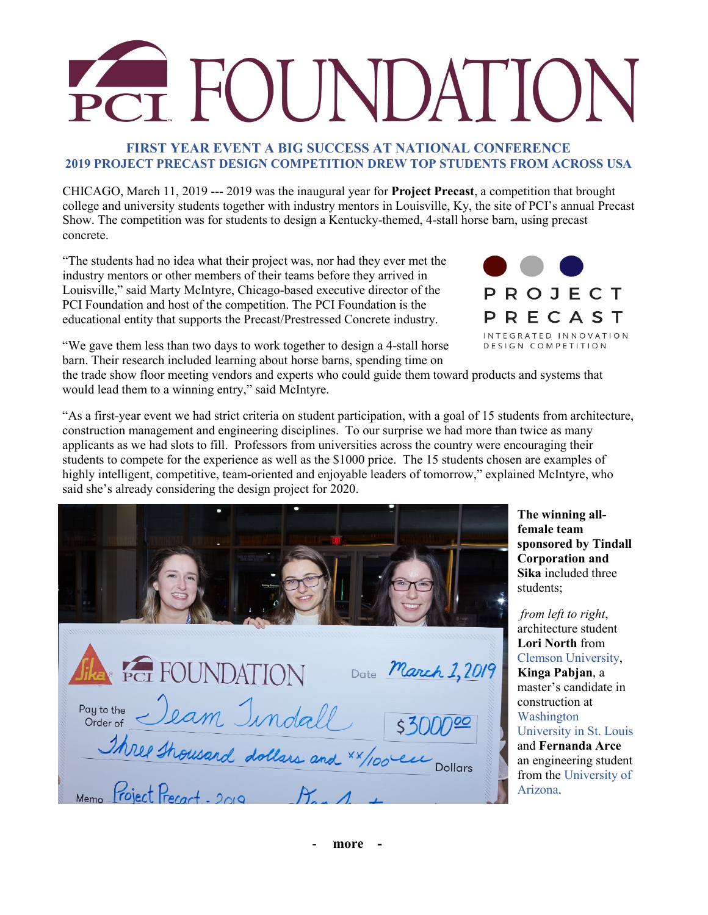# **OUNDATIC**

#### **FIRST YEAR EVENT A BIG SUCCESS AT NATIONAL CONFERENCE 2019 PROJECT PRECAST DESIGN COMPETITION DREW TOP STUDENTS FROM ACROSS USA**

CHICAGO, March 11, 2019 --- 2019 was the inaugural year for **Project Precast**, a competition that brought college and university students together with industry mentors in Louisville, Ky, the site of PCI's annual Precast Show. The competition was for students to design a Kentucky-themed, 4-stall horse barn, using precast concrete.

"The students had no idea what their project was, nor had they ever met the industry mentors or other members of their teams before they arrived in Louisville," said Marty McIntyre, Chicago-based executive director of the PCI Foundation and host of the competition. The PCI Foundation is the educational entity that supports the Precast/Prestressed Concrete industry.



"We gave them less than two days to work together to design a 4-stall horse barn. Their research included learning about horse barns, spending time on

the trade show floor meeting vendors and experts who could guide them toward products and systems that would lead them to a winning entry," said McIntyre.

"As a first-year event we had strict criteria on student participation, with a goal of 15 students from architecture, construction management and engineering disciplines. To our surprise we had more than twice as many applicants as we had slots to fill. Professors from universities across the country were encouraging their students to compete for the experience as well as the \$1000 price. The 15 students chosen are examples of highly intelligent, competitive, team-oriented and enjoyable leaders of tomorrow," explained McIntyre, who said she's already considering the design project for 2020.

| <b>Sika</b> Per FOUNDATION<br>Date March 1, 2019                                                              |
|---------------------------------------------------------------------------------------------------------------|
| Pay to the Ieam Indall<br>53000000<br>Three thousand dollars and *x/100 europollons<br>Project Precart - 2019 |

**The winning allfemale team sponsored by Tindall Corporation and Sika** included three students;

*from left to right*, architecture student **Lori North** from Clemson University, **Kinga Pabjan**, a master's candidate in construction at Washington University in St. Louis and **Fernanda Arce** an engineering student from the University of Arizona.